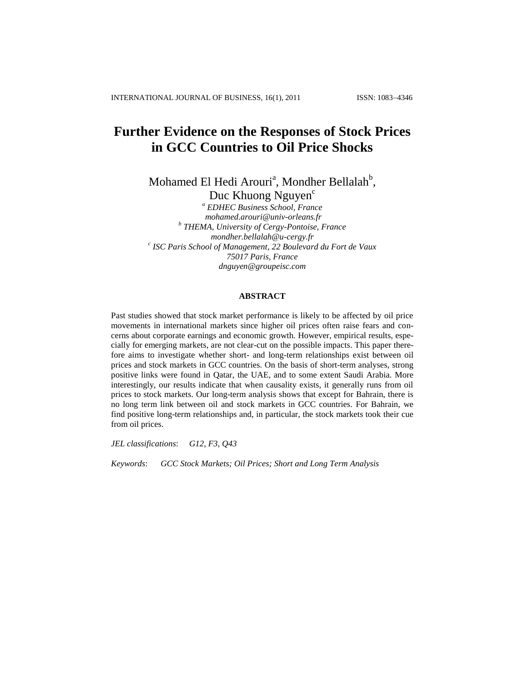# **Further Evidence on the Responses of Stock Prices in GCC Countries to Oil Price Shocks**

Mohamed El Hedi Arouri<sup>a</sup>, Mondher Bellalah<sup>b</sup>, Duc Khuong Nguyen<sup>c</sup>

*<sup>a</sup> EDHEC Business School, France [mohamed.arouri@univ-orleans.fr](mailto:mohamed.arouri@univ-orleans.fr) b THEMA, University of Cergy-Pontoise, France [mondher.bellalah@u-cergy.fr](mailto:mondher.bellalah@u-cergy.fr) c ISC Paris School of Management, 22 Boulevard du Fort de Vaux 75017 Paris, France [dnguyen@groupeisc.com](mailto:dnguyen@groupeisc.com)*

#### **ABSTRACT**

Past studies showed that stock market performance is likely to be affected by oil price movements in international markets since higher oil prices often raise fears and concerns about corporate earnings and economic growth. However, empirical results, especially for emerging markets, are not clear-cut on the possible impacts. This paper therefore aims to investigate whether short- and long-term relationships exist between oil prices and stock markets in GCC countries. On the basis of short-term analyses, strong positive links were found in Qatar, the UAE, and to some extent Saudi Arabia. More interestingly, our results indicate that when causality exists, it generally runs from oil prices to stock markets. Our long-term analysis shows that except for Bahrain, there is no long term link between oil and stock markets in GCC countries. For Bahrain, we find positive long-term relationships and, in particular, the stock markets took their cue from oil prices.

*JEL classifications*: *G12, F3, Q43*

*Keywords*: *GCC Stock Markets; Oil Prices; Short and Long Term Analysis*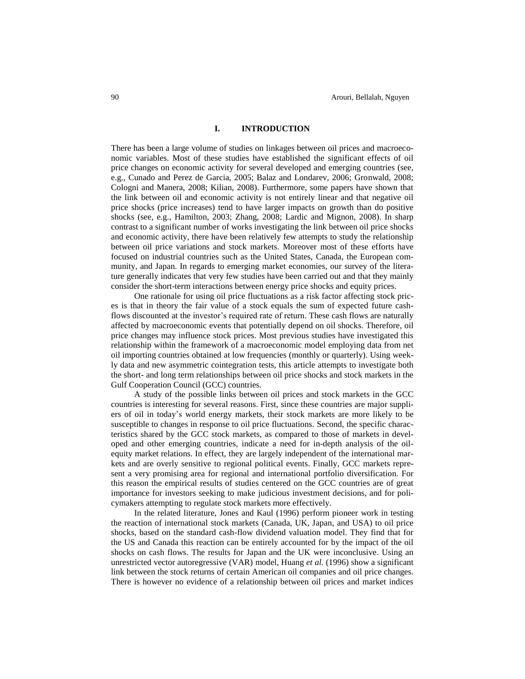## **I. INTRODUCTION**

There has been a large volume of studies on linkages between oil prices and macroeconomic variables. Most of these studies have established the significant effects of oil price changes on economic activity for several developed and emerging countries (see, e.g., Cunado and Perez de Garcia, 2005; Balaz and Londarev, 2006; Gronwald, 2008; Cologni and Manera, 2008; [Kilian, 2008\).](http://www.sciencedirect.com/science?_ob=ArticleURL&_udi=B6V7G-4S9P5RJ-1&_user=544851&_coverDate=09%2F30%2F2008&_rdoc=1&_fmt=full&_orig=search&_cdi=5842&_sort=d&_docanchor=&view=c&_acct=C000027818&_version=1&_urlVersion=0&_userid=544851&md5=219357a5251e075291a1491074b97012#bib33) Furthermore, some papers have shown that the link between oil and economic activity is not entirely linear and that negative oil price shocks (price increases) tend to have larger impacts on growth than do positive shocks (see, e.g., Hamilton, 2003; Zhang, 2008; Lardic and Mignon, 2008). In sharp contrast to a significant number of works investigating the link between oil price shocks and economic activity, there have been relatively few attempts to study the relationship between oil price variations and stock markets. Moreover most of these efforts have focused on industrial countries such as the United States, Canada, the European community, and Japan. In regards to emerging market economies, our survey of the literature generally indicates that very few studies have been carried out and that they mainly consider the short-term interactions between energy price shocks and equity prices.

One rationale for using oil price fluctuations as a risk factor affecting stock prices is that in theory the fair value of a stock equals the sum of expected future cashflows discounted at the investor's required rate of return. These cash flows are naturally affected by macroeconomic events that potentially depend on oil shocks. Therefore, oil price changes may influence stock prices. Most previous studies have investigated this relationship within the framework of a macroeconomic model employing data from net oil importing countries obtained at low frequencies (monthly or quarterly). Using weekly data and new asymmetric cointegration tests, this article attempts to investigate both the short- and long term relationships between oil price shocks and stock markets in the Gulf Cooperation Council (GCC) countries.

A study of the possible links between oil prices and stock markets in the GCC countries is interesting for several reasons. First, since these countries are major suppliers of oil in today's world energy markets, their stock markets are more likely to be susceptible to changes in response to oil price fluctuations. Second, the specific characteristics shared by the GCC stock markets, as compared to those of markets in developed and other emerging countries, indicate a need for in-depth analysis of the oilequity market relations. In effect, they are largely independent of the international markets and are overly sensitive to regional political events. Finally, GCC markets represent a very promising area for regional and international portfolio diversification. For this reason the empirical results of studies centered on the GCC countries are of great importance for investors seeking to make judicious investment decisions, and for policymakers attempting to regulate stock markets more effectively.

In the related literature, Jones and Kaul (1996) perform pioneer work in testing the reaction of international stock markets (Canada, UK, Japan, and USA) to oil price shocks, based on the standard cash-flow dividend valuation model. They find that for the US and Canada this reaction can be entirely accounted for by the impact of the oil shocks on cash flows. The results for Japan and the UK were inconclusive. Using an unrestricted vector autoregressive (VAR) model, Huang *et al.* (1996) show a significant link between the stock returns of certain American oil companies and oil price changes. There is however no evidence of a relationship between oil prices and market indices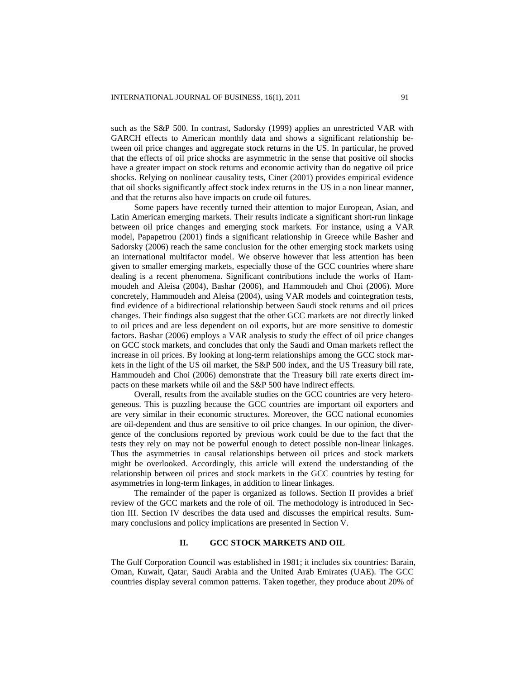such as the S&P 500. In contrast, Sadorsky (1999) applies an unrestricted VAR with GARCH effects to American monthly data and shows a significant relationship between oil price changes and aggregate stock returns in the US. In particular, he proved that the effects of oil price shocks are asymmetric in the sense that positive oil shocks have a greater impact on stock returns and economic activity than do negative oil price shocks. Relying on nonlinear causality tests, Ciner (2001) provides empirical evidence that oil shocks significantly affect stock index returns in the US in a non linear manner, and that the returns also have impacts on crude oil futures.

Some papers have recently turned their attention to major European, Asian, and Latin American emerging markets. Their results indicate a significant short-run linkage between oil price changes and emerging stock markets. For instance, using a VAR model, Papapetrou (2001) finds a significant relationship in Greece while Basher and Sadorsky (2006) reach the same conclusion for the other emerging stock markets using an international multifactor model. We observe however that less attention has been given to smaller emerging markets, especially those of the GCC countries where share dealing is a recent phenomena. Significant contributions include the works of Hammoudeh and Aleisa (2004), Bashar (2006), and Hammoudeh and Choi (2006). More concretely, Hammoudeh and Aleisa (2004), using VAR models and cointegration tests, find evidence of a bidirectional relationship between Saudi stock returns and oil prices changes. Their findings also suggest that the other GCC markets are not directly linked to oil prices and are less dependent on oil exports, but are more sensitive to domestic factors. Bashar (2006) employs a VAR analysis to study the effect of oil price changes on GCC stock markets, and concludes that only the Saudi and Oman markets reflect the increase in oil prices. By looking at long-term relationships among the GCC stock markets in the light of the US oil market, the S&P 500 index, and the US Treasury bill rate, Hammoudeh and Choi (2006) demonstrate that the Treasury bill rate exerts direct impacts on these markets while oil and the S&P 500 have indirect effects.

Overall, results from the available studies on the GCC countries are very heterogeneous. This is puzzling because the GCC countries are important oil exporters and are very similar in their economic structures. Moreover, the GCC national economies are oil-dependent and thus are sensitive to oil price changes. In our opinion, the divergence of the conclusions reported by previous work could be due to the fact that the tests they rely on may not be powerful enough to detect possible non-linear linkages. Thus the asymmetries in causal relationships between oil prices and stock markets might be overlooked. Accordingly, this article will extend the understanding of the relationship between oil prices and stock markets in the GCC countries by testing for asymmetries in long-term linkages, in addition to linear linkages.

The remainder of the paper is organized as follows. Section II provides a brief review of the GCC markets and the role of oil. The methodology is introduced in Section III. Section IV describes the data used and discusses the empirical results. Summary conclusions and policy implications are presented in Section V.

## **II. GCC STOCK MARKETS AND OIL**

The Gulf Corporation Council was established in 1981; it includes six countries: Barain, Oman, Kuwait, Qatar, Saudi Arabia and the United Arab Emirates (UAE). The GCC countries display several common patterns. Taken together, they produce about 20% of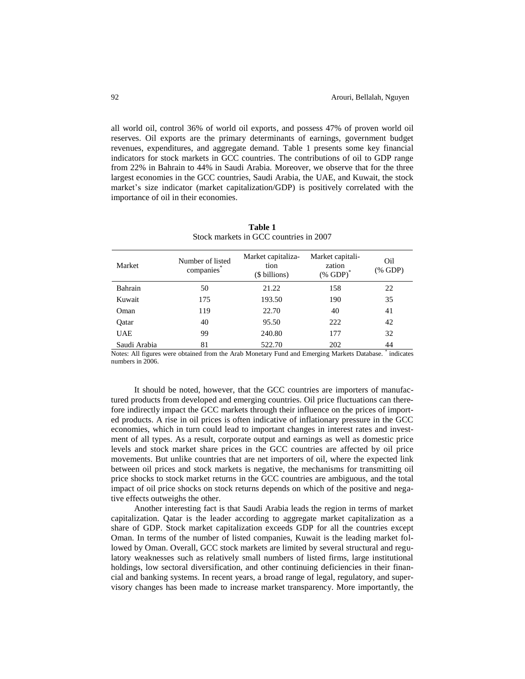all world oil, control 36% of world oil exports, and possess 47% of proven world oil reserves. Oil exports are the primary determinants of earnings, government budget revenues, expenditures, and aggregate demand. Table 1 presents some key financial indicators for stock markets in GCC countries. The contributions of oil to GDP range from 22% in Bahrain to 44% in Saudi Arabia. Moreover, we observe that for the three largest economies in the GCC countries, Saudi Arabia, the UAE, and Kuwait, the stock market's size indicator (market capitalization/GDP) is positively correlated with the importance of oil in their economies.

| Market       | Number of listed<br>companies* | Market capitaliza-<br>tion<br>(\$ billions) | Market capitali-<br>zation<br>$(\%$ GDP) <sup><math>\degree</math></sup> | Oil<br>(% GDP) |
|--------------|--------------------------------|---------------------------------------------|--------------------------------------------------------------------------|----------------|
| Bahrain      | 50                             | 21.22                                       | 158                                                                      | 22             |
| Kuwait       | 175                            | 193.50                                      | 190                                                                      | 35             |
| Oman         | 119                            | 22.70                                       | 40                                                                       | 41             |
| Qatar        | 40                             | 95.50                                       | 222                                                                      | 42             |
| <b>UAE</b>   | 99                             | 240.80                                      | 177                                                                      | 32             |
| Saudi Arabia | 81                             | 522.70                                      | 202                                                                      | 44<br>$\sim$   |

**Table 1**  Stock markets in GCC countries in 2007

Notes: All figures were obtained from the Arab Monetary Fund and Emerging Markets Database. \* indicates numbers in 2006.

It should be noted, however, that the GCC countries are importers of manufactured products from developed and emerging countries. Oil price fluctuations can therefore indirectly impact the GCC markets through their influence on the prices of imported products. A rise in oil prices is often indicative of inflationary pressure in the GCC economies, which in turn could lead to important changes in interest rates and investment of all types. As a result, corporate output and earnings as well as domestic price levels and stock market share prices in the GCC countries are affected by oil price movements. But unlike countries that are net importers of oil, where the expected link between oil prices and stock markets is negative, the mechanisms for transmitting oil price shocks to stock market returns in the GCC countries are ambiguous, and the total impact of oil price shocks on stock returns depends on which of the positive and negative effects outweighs the other.

Another interesting fact is that Saudi Arabia leads the region in terms of market capitalization. Qatar is the leader according to aggregate market capitalization as a share of GDP. Stock market capitalization exceeds GDP for all the countries except Oman. In terms of the number of listed companies, Kuwait is the leading market followed by Oman. Overall, GCC stock markets are limited by several structural and regulatory weaknesses such as relatively small numbers of listed firms, large institutional holdings, low sectoral diversification, and other continuing deficiencies in their financial and banking systems. In recent years, a broad range of legal, regulatory, and supervisory changes has been made to increase market transparency. More importantly, the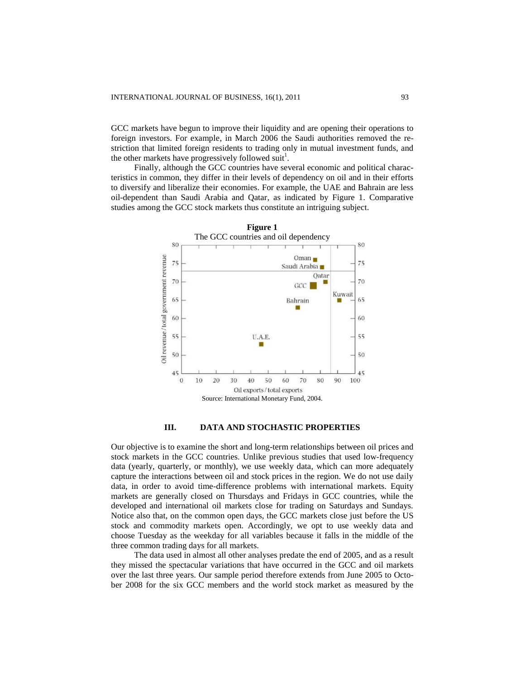GCC markets have begun to improve their liquidity and are opening their operations to foreign investors. For example, in March 2006 the Saudi authorities removed the restriction that limited foreign residents to trading only in mutual investment funds, and the other markets have progressively followed suit<sup>1</sup>.

Finally, although the GCC countries have several economic and political characteristics in common, they differ in their levels of dependency on oil and in their efforts to diversify and liberalize their economies. For example, the UAE and Bahrain are less oil-dependent than Saudi Arabia and Qatar, as indicated by Figure 1. Comparative studies among the GCC stock markets thus constitute an intriguing subject.



#### **III. DATA AND STOCHASTIC PROPERTIES**

Our objective is to examine the short and long-term relationships between oil prices and stock markets in the GCC countries. Unlike previous studies that used low-frequency data (yearly, quarterly, or monthly), we use weekly data, which can more adequately capture the interactions between oil and stock prices in the region. We do not use daily data, in order to avoid time-difference problems with international markets. Equity markets are generally closed on Thursdays and Fridays in GCC countries, while the developed and international oil markets close for trading on Saturdays and Sundays. Notice also that, on the common open days, the GCC markets close just before the US stock and commodity markets open. Accordingly, we opt to use weekly data and choose Tuesday as the weekday for all variables because it falls in the middle of the three common trading days for all markets.

The data used in almost all other analyses predate the end of 2005, and as a result they missed the spectacular variations that have occurred in the GCC and oil markets over the last three years. Our sample period therefore extends from June 2005 to October 2008 for the six GCC members and the world stock market as measured by the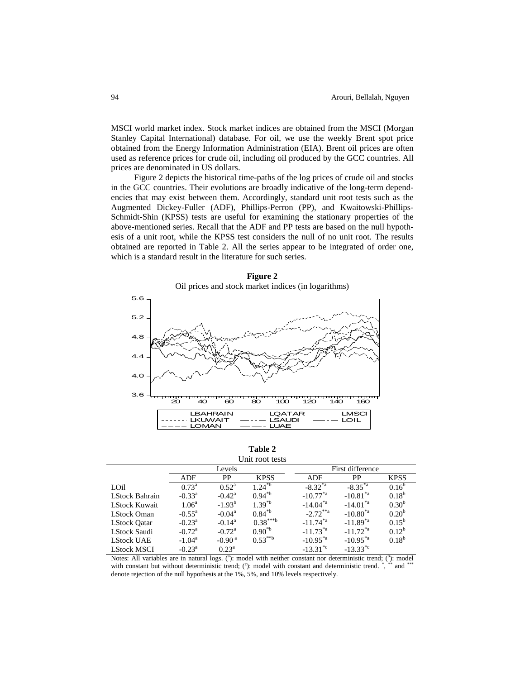MSCI world market index. Stock market indices are obtained from the MSCI (Morgan Stanley Capital International) database. For oil, we use the weekly Brent spot price obtained from the Energy Information Administration (EIA). Brent oil prices are often used as reference prices for crude oil, including oil produced by the GCC countries. All prices are denominated in US dollars.

Figure 2 depicts the historical time-paths of the log prices of crude oil and stocks in the GCC countries. Their evolutions are broadly indicative of the long-term dependencies that may exist between them. Accordingly, standard unit root tests such as the Augmented Dickey-Fuller (ADF), Phillips-Perron (PP), and Kwaitowski-Phillips-Schmidt-Shin (KPSS) tests are useful for examining the stationary properties of the above-mentioned series. Recall that the ADF and PP tests are based on the null hypothesis of a unit root, while the KPSS test considers the null of no unit root. The results obtained are reported in Table 2. All the series appear to be integrated of order one, which is a standard result in the literature for such series.



**Figure 2** 

**Table 2** Unit root tests

|                      |                 | Levels          |                    | First difference          |                   |                   |  |  |
|----------------------|-----------------|-----------------|--------------------|---------------------------|-------------------|-------------------|--|--|
|                      | ADF             | PP              | <b>KPSS</b>        | ADF                       | PP                | <b>KPSS</b>       |  |  |
| LOil                 | $0.73^{\rm a}$  | $0.52^{\rm a}$  | $1.24^{\text{sb}}$ | $-8.32^{*a}$              | $-8.35^{\ast a}$  | $0.16^{b}$        |  |  |
| LStock Bahrain       | $-0.33^{\rm a}$ | $-0.42^{\rm a}$ | $0.94^{*b}$        | $-10.77^{*}$ <sup>a</sup> | $-10.81^{\ast a}$ | $0.18^{b}$        |  |  |
| <b>LStock Kuwait</b> | $1.06^{\rm a}$  | $-1.93^{b}$     | $1.39^{*b}$        | $-14.04^{\ast a}$         | $-14.01^{*a}$     | 0.30 <sup>b</sup> |  |  |
| <b>LStock Oman</b>   | $-0.55^{\rm a}$ | $-0.04^{\rm a}$ | $0.84^{*b}$        | $-2.72$ <sup>**a</sup>    | $-10.80^{*a}$     | $0.20^{b}$        |  |  |
| <b>LStock Oatar</b>  | $-0.23^{\rm a}$ | $-0.14^a$       | $0.38***b$         | $-11.74^{*}$ <sup>a</sup> | $-11.89^{*a}$     | $0.15^{\rm b}$    |  |  |
| <b>LStock Saudi</b>  | $-0.72^{\rm a}$ | $-0.72^{\rm a}$ | $0.90^{*b}$        | $-11.73^{*}$ <sup>a</sup> | $-11.72^{*a}$     | $0.12^{b}$        |  |  |
| <b>LStock UAE</b>    | $-1.04^{\rm a}$ | $-0.90a$        | $0.53***b$         | $-10.95^{*}$ <sup>a</sup> | $-10.95^{\ast a}$ | $0.18^{b}$        |  |  |
| <b>LStock MSCI</b>   | $-0.23^{\rm a}$ | $0.23^{\rm a}$  |                    | $-13.31^{\text{te}}$      | $-13.33^{*c}$     |                   |  |  |

Notes: All variables are in natural logs.  $(1)$ : model with neither constant nor deterministic trend;  $(1)$ : model with constant but without deterministic trend;  $(°)$ : model with constant and deterministic trend.  $\dot{ }$ , and denote rejection of the null hypothesis at the 1%, 5%, and 10% levels respectively.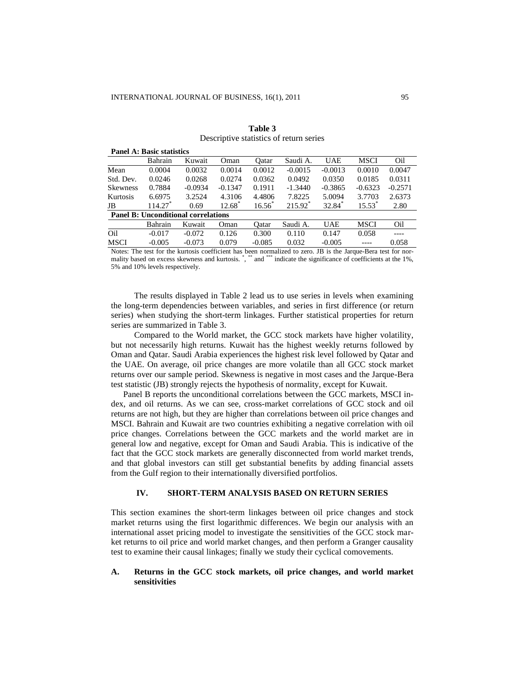**Panel A: Basic statistics**

|                 | T AIRT A. DASR STAUSURS                    |           |                   |                   |           |            |                 |           |
|-----------------|--------------------------------------------|-----------|-------------------|-------------------|-----------|------------|-----------------|-----------|
|                 | Bahrain                                    | Kuwait    | Oman              | Oatar             | Saudi A.  | <b>UAE</b> | MSCI            | Oil       |
| Mean            | 0.0004                                     | 0.0032    | 0.0014            | 0.0012            | $-0.0015$ | $-0.0013$  | 0.0010          | 0.0047    |
| Std. Dev.       | 0.0246                                     | 0.0268    | 0.0274            | 0.0362            | 0.0492    | 0.0350     | 0.0185          | 0.0311    |
| <b>Skewness</b> | 0.7884                                     | $-0.0934$ | $-0.1347$         | 0.1911            | $-1.3440$ | $-0.3865$  | $-0.6323$       | $-0.2571$ |
| Kurtosis        | 6.6975                                     | 3.2524    | 4.3106            | 4.4806            | 7.8225    | 5.0094     | 3.7703          | 2.6373    |
| JB              | 114.27                                     | 0.69      | $12.68^{\degree}$ | $16.56^{\degree}$ | 215.92    | 32.84      | $15.53^{\circ}$ | 2.80      |
|                 | <b>Panel B: Unconditional correlations</b> |           |                   |                   |           |            |                 |           |
|                 | Bahrain                                    | Kuwait    | Oman              | Oatar             | Saudi A.  | <b>UAE</b> | MSCI            | Oil       |
| Oil             | $-0.017$                                   | $-0.072$  | 0.126             | 0.300             | 0.110     | 0.147      | 0.058           | ----      |
| <b>MSCI</b>     | $-0.005$                                   | $-0.073$  | 0.079             | $-0.085$          | 0.032     | $-0.005$   |                 | 0.058     |

| Table 3                                 |
|-----------------------------------------|
| Descriptive statistics of return series |

Notes: The test for the kurtosis coefficient has been normalized to zero. JB is the Jarque-Bera test for normality based on excess skewness and kurtosis. \*, \*\*\* and \*\*\*\* indicate the significance of coefficients at the 1%, 5% and 10% levels respectively.

The results displayed in Table 2 lead us to use series in levels when examining the long-term dependencies between variables, and series in first difference (or return series) when studying the short-term linkages. Further statistical properties for return series are summarized in Table 3.

Compared to the World market, the GCC stock markets have higher volatility, but not necessarily high returns. Kuwait has the highest weekly returns followed by Oman and Qatar. Saudi Arabia experiences the highest risk level followed by Qatar and the UAE. On average, oil price changes are more volatile than all GCC stock market returns over our sample period. Skewness is negative in most cases and the Jarque-Bera test statistic (JB) strongly rejects the hypothesis of normality, except for Kuwait.

Panel B reports the unconditional correlations between the GCC markets, MSCI index, and oil returns. As we can see, cross-market correlations of GCC stock and oil returns are not high, but they are higher than correlations between oil price changes and MSCI. Bahrain and Kuwait are two countries exhibiting a negative correlation with oil price changes. Correlations between the GCC markets and the world market are in general low and negative, except for Oman and Saudi Arabia. This is indicative of the fact that the GCC stock markets are generally disconnected from world market trends, and that global investors can still get substantial benefits by adding financial assets from the Gulf region to their internationally diversified portfolios.

## **IV. SHORT-TERM ANALYSIS BASED ON RETURN SERIES**

This section examines the short-term linkages between oil price changes and stock market returns using the first logarithmic differences. We begin our analysis with an international asset pricing model to investigate the sensitivities of the GCC stock market returns to oil price and world market changes, and then perform a Granger causality test to examine their causal linkages; finally we study their cyclical comovements.

### **A. Returns in the GCC stock markets, oil price changes, and world market sensitivities**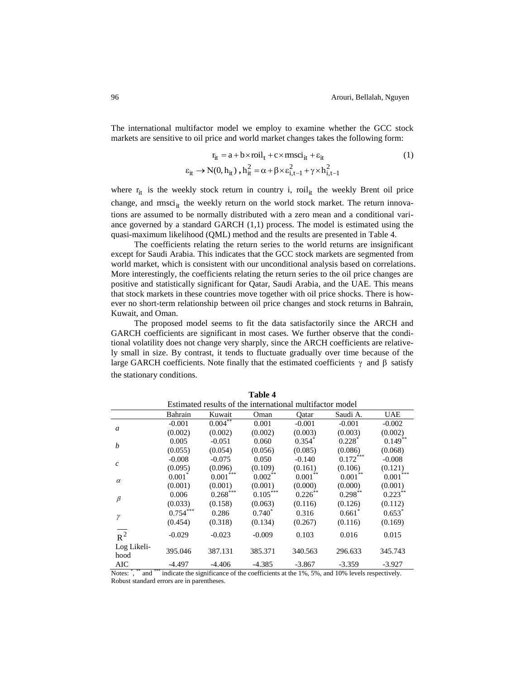The international multifactor model we employ to examine whether the GCC stock markets are sensitive to oil price and world market changes takes the following form:

$$
r_{it} = a + b \times \text{roil}_{t} + c \times \text{msci}_{it} + \varepsilon_{it}
$$
  
\n
$$
\varepsilon_{it} \to N(0, h_{it}), h_{it}^{2} = \alpha + \beta \times \varepsilon_{i, t-1}^{2} + \gamma \times h_{i, t-1}^{2}
$$
\n(1)

where  $r_{it}$  is the weekly stock return in country i, roil<sub>it</sub> the weekly Brent oil price change, and  $rm\,sin$  the weekly return on the world stock market. The return innovations are assumed to be normally distributed with a zero mean and a conditional variance governed by a standard GARCH  $(1,1)$  process. The model is estimated using the quasi-maximum likelihood (QML) method and the results are presented in Table 4.

The coefficients relating the return series to the world returns are insignificant except for Saudi Arabia. This indicates that the GCC stock markets are segmented from world market, which is consistent with our unconditional analysis based on correlations. More interestingly, the coefficients relating the return series to the oil price changes are positive and statistically significant for Qatar, Saudi Arabia, and the UAE. This means that stock markets in these countries move together with oil price shocks. There is however no short-term relationship between oil price changes and stock returns in Bahrain, Kuwait, and Oman.

The proposed model seems to fit the data satisfactorily since the ARCH and GARCH coefficients are significant in most cases. We further observe that the conditional volatility does not change very sharply, since the ARCH coefficients are relatively small in size. By contrast, it tends to fluctuate gradually over time because of the large GARCH coefficients. Note finally that the estimated coefficients  $\gamma$  and  $\beta$  satisfy the stationary conditions.

|                     |                                                          |                        | тами т     |            |            |             |  |  |  |  |
|---------------------|----------------------------------------------------------|------------------------|------------|------------|------------|-------------|--|--|--|--|
|                     | Estimated results of the international multifactor model |                        |            |            |            |             |  |  |  |  |
|                     | Bahrain                                                  | Kuwait                 | Oman       | Oatar      | Saudi A.   | <b>UAE</b>  |  |  |  |  |
|                     | $-0.001$                                                 | $0.004***$             | 0.001      | $-0.001$   | $-0.001$   | $-0.002$    |  |  |  |  |
| $\mathfrak a$       | (0.002)                                                  | (0.002)                | (0.002)    | (0.003)    | (0.003)    | (0.002)     |  |  |  |  |
| b                   | 0.005                                                    | $-0.051$               | 0.060      | $0.354*$   | $0.228*$   | $0.149$ **  |  |  |  |  |
|                     | (0.055)                                                  | (0.054)                | (0.056)    | (0.085)    | (0.086)    | (0.068)     |  |  |  |  |
| $\mathcal{C}$       | $-0.008$                                                 | $-0.075$               | 0.050      | $-0.140$   | $0.172***$ | $-0.008$    |  |  |  |  |
|                     | (0.095)                                                  | (0.096)                | (0.109)    | (0.161)    | (0.106)    | (0.121)     |  |  |  |  |
| $\alpha$            | $0.001*$                                                 | $0.001$ <sup>***</sup> | $0.002$ ** | $0.001$ ** | $0.001**$  | $0.001$ *** |  |  |  |  |
|                     | (0.001)                                                  | (0.001)                | (0.001)    | (0.000)    | (0.000)    | (0.001)     |  |  |  |  |
| $\beta$             | 0.006                                                    | $0.268$ <sup>***</sup> | $0.105***$ | $0.226$ ** | $0.298$ ** | $0.223$ **  |  |  |  |  |
|                     | (0.033)                                                  | (0.158)                | (0.063)    | (0.116)    | (0.126)    | (0.112)     |  |  |  |  |
| γ                   | $0.754***$                                               | 0.286                  | $0.740*$   | 0.316      | $0.661*$   | $0.653*$    |  |  |  |  |
|                     | (0.454)                                                  | (0.318)                | (0.134)    | (0.267)    | (0.116)    | (0.169)     |  |  |  |  |
| $R^2$               | $-0.029$                                                 | $-0.023$               | $-0.009$   | 0.103      | 0.016      | 0.015       |  |  |  |  |
| Log Likeli-<br>hood | 395.046                                                  | 387.131                | 385.371    | 340.563    | 296.633    | 345.743     |  |  |  |  |
| AIC                 | $-4.497$                                                 | $-4.406$               | $-4.385$   | $-3.867$   | $-3.359$   | $-3.927$    |  |  |  |  |

**Table 4**

Notes: \*, \*\* and \*\*\* indicate the significance of the coefficients at the 1%, 5%, and 10% levels respectively. Robust standard errors are in parentheses.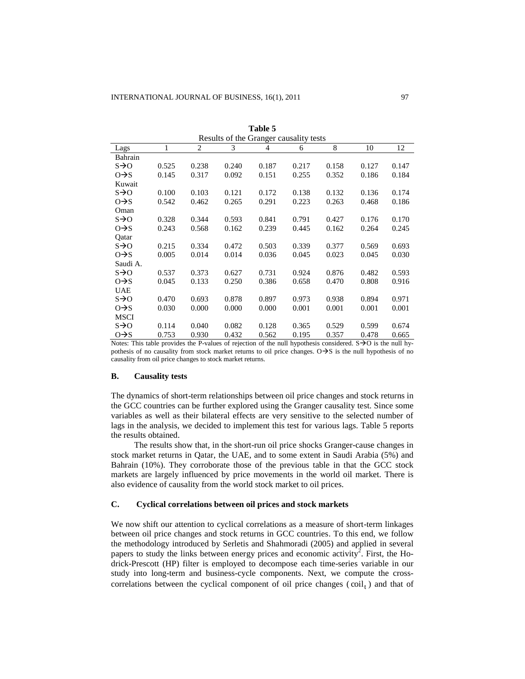|                   |       |       |       | Table 5                                |       |       |       |       |
|-------------------|-------|-------|-------|----------------------------------------|-------|-------|-------|-------|
|                   |       |       |       | Results of the Granger causality tests |       |       |       |       |
| Lags              | 1     | 2     | 3     | $\overline{4}$                         | 6     | 8     | 10    | 12    |
| Bahrain           |       |       |       |                                        |       |       |       |       |
| $s\rightarrow o$  | 0.525 | 0.238 | 0.240 | 0.187                                  | 0.217 | 0.158 | 0.127 | 0.147 |
| $O \rightarrow S$ | 0.145 | 0.317 | 0.092 | 0.151                                  | 0.255 | 0.352 | 0.186 | 0.184 |
| Kuwait            |       |       |       |                                        |       |       |       |       |
| $s \rightarrow o$ | 0.100 | 0.103 | 0.121 | 0.172                                  | 0.138 | 0.132 | 0.136 | 0.174 |
| $O \rightarrow S$ | 0.542 | 0.462 | 0.265 | 0.291                                  | 0.223 | 0.263 | 0.468 | 0.186 |
| Oman              |       |       |       |                                        |       |       |       |       |
| $s\rightarrow o$  | 0.328 | 0.344 | 0.593 | 0.841                                  | 0.791 | 0.427 | 0.176 | 0.170 |
| $O \rightarrow S$ | 0.243 | 0.568 | 0.162 | 0.239                                  | 0.445 | 0.162 | 0.264 | 0.245 |
| Qatar             |       |       |       |                                        |       |       |       |       |
| $s \rightarrow o$ | 0.215 | 0.334 | 0.472 | 0.503                                  | 0.339 | 0.377 | 0.569 | 0.693 |
| $O \rightarrow S$ | 0.005 | 0.014 | 0.014 | 0.036                                  | 0.045 | 0.023 | 0.045 | 0.030 |
| Saudi A.          |       |       |       |                                        |       |       |       |       |
| $s \rightarrow o$ | 0.537 | 0.373 | 0.627 | 0.731                                  | 0.924 | 0.876 | 0.482 | 0.593 |
| $O \rightarrow S$ | 0.045 | 0.133 | 0.250 | 0.386                                  | 0.658 | 0.470 | 0.808 | 0.916 |
| UAE               |       |       |       |                                        |       |       |       |       |
| $s \rightarrow o$ | 0.470 | 0.693 | 0.878 | 0.897                                  | 0.973 | 0.938 | 0.894 | 0.971 |
| $O \rightarrow S$ | 0.030 | 0.000 | 0.000 | 0.000                                  | 0.001 | 0.001 | 0.001 | 0.001 |
| MSCI              |       |       |       |                                        |       |       |       |       |
| $s\rightarrow o$  | 0.114 | 0.040 | 0.082 | 0.128                                  | 0.365 | 0.529 | 0.599 | 0.674 |
| $O \rightarrow S$ | 0.753 | 0.930 | 0.432 | 0.562                                  | 0.195 | 0.357 | 0.478 | 0.665 |

Notes: This table provides the P-values of rejection of the null hypothesis considered.  $S\rightarrow O$  is the null hypothesis of no causality from stock market returns to oil price changes.  $O \rightarrow S$  is the null hypothesis of no causality from oil price changes to stock market returns.

## **B. Causality tests**

The dynamics of short-term relationships between oil price changes and stock returns in the GCC countries can be further explored using the Granger causality test. Since some variables as well as their bilateral effects are very sensitive to the selected number of lags in the analysis, we decided to implement this test for various lags. Table 5 reports the results obtained.

The results show that, in the short-run oil price shocks Granger-cause changes in stock market returns in Qatar, the UAE, and to some extent in Saudi Arabia (5%) and Bahrain (10%). They corroborate those of the previous table in that the GCC stock markets are largely influenced by price movements in the world oil market. There is also evidence of causality from the world stock market to oil prices.

## **C. Cyclical correlations between oil prices and stock markets**

We now shift our attention to cyclical correlations as a measure of short-term linkages between oil price changes and stock returns in GCC countries. To this end, we follow the methodology introduced by Serletis and Shahmoradi (2005) and applied in several papers to study the links between energy prices and economic activity<sup>2</sup>. First, the Hodrick-Prescott (HP) filter is employed to decompose each time-series variable in our study into long-term and business-cycle components. Next, we compute the crosscorrelations between the cyclical component of oil price changes  $(coil<sub>t</sub>)$  and that of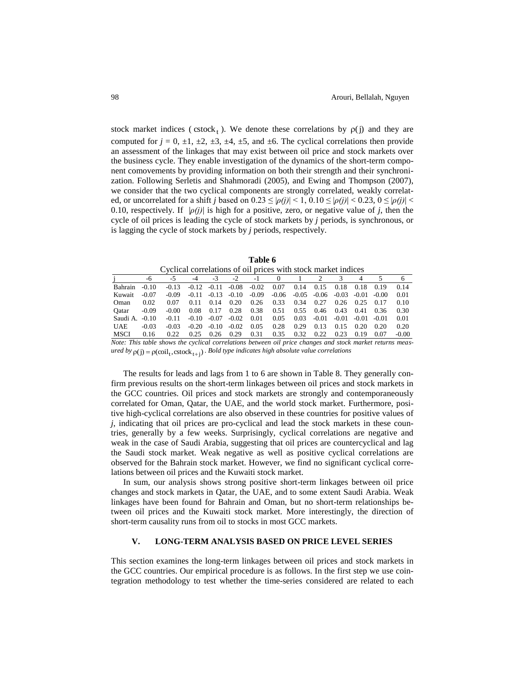stock market indices (cstock<sub>t</sub>). We denote these correlations by  $\rho(j)$  and they are computed for  $j = 0, \pm 1, \pm 2, \pm 3, \pm 4, \pm 5$ , and  $\pm 6$ . The cyclical correlations then provide an assessment of the linkages that may exist between oil price and stock markets over the business cycle. They enable investigation of the dynamics of the short-term component comovements by providing information on both their strength and their synchronization. Following Serletis and Shahmoradi (2005), and Ewing and Thompson (2007), we consider that the two cyclical components are strongly correlated, weakly correlated, or uncorrelated for a shift *j* based on  $0.23 \leq |\rho(j)| \leq 1$ ,  $0.10 \leq |\rho(j)| \leq 0.23$ ,  $0 \leq |\rho(j)| \leq 1$ 0.10, respectively. If  $|\rho(j)|$  is high for a positive, zero, or negative value of *j*, then the cycle of oil prices is leading the cycle of stock markets by *j* periods, is synchronous, or is lagging the cycle of stock markets by *j* periods, respectively.

| Table 6                                                       |
|---------------------------------------------------------------|
| Cyclical correlations of oil prices with stock market indices |

|                                                                                                          | -6      | -5      | -4      | $-3$    | $-2$    | $-1$    | $\theta$ |         |         |         |         |         | 6       |
|----------------------------------------------------------------------------------------------------------|---------|---------|---------|---------|---------|---------|----------|---------|---------|---------|---------|---------|---------|
| Bahrain                                                                                                  | $-0.10$ | $-0.13$ | $-0.12$ | $-0.11$ | $-0.08$ | $-0.02$ | 0.07     | 0.14    | 0.15    | 0.18    | 0.18    | 0.19    | 0.14    |
| Kuwait                                                                                                   | $-0.07$ | $-0.09$ | $-0.11$ | $-0.13$ | $-0.10$ | $-0.09$ | $-0.06$  | $-0.05$ | $-0.06$ | $-0.03$ | $-0.01$ | $-0.00$ | 0.01    |
| Oman                                                                                                     | 0.02    | 0.07    | 0.11    | 0.14    | 0.20    | 0.26    | 0.33     | 0.34    | 0.27    | 0.26    | 0.25    | 0.17    | 0.10    |
| Oatar                                                                                                    | $-0.09$ | $-0.00$ | 0.08    | 0.17    | 0.28    | 0.38    | 0.51     | 0.55    | 0.46    | 0.43    | 0.41    | 0.36    | 0.30    |
| Saudi A.                                                                                                 | $-0.10$ | $-0.11$ | $-0.10$ | $-0.07$ | $-0.02$ | 0.01    | 0.05     | 0.03    | $-0.01$ | $-0.01$ | $-0.01$ | $-0.01$ | 0.01    |
| <b>UAE</b>                                                                                               | $-0.03$ | -0.03   | $-0.20$ | $-0.10$ | $-0.02$ | 0.05    | 0.28     | 0.29    | 0.13    | 0.15    | 0.20    | 0.20    | 0.20    |
| <b>MSCI</b>                                                                                              | 0.16    | 0.22    | 0.25    | 0.26    | 0.29    | 0.31    | 0.35     | 0.32    | 0.22    | 0.23    | 0.19    | 0.07    | $-0.00$ |
| Note: This table shows the cyclical correlations between oil price changes and stock market returns meas |         |         |         |         |         |         |          |         |         |         |         |         |         |

*Note: This table shows the cyclical correlations between oil price changes and stock market returns meas* $u$ red by  $\rho(j) = \rho(coil_{t}, cstock_{t+j})$ . *Bold type indicates high absolute value correlations* 

The results for leads and lags from 1 to 6 are shown in Table 8. They generally confirm previous results on the short-term linkages between oil prices and stock markets in the GCC countries. Oil prices and stock markets are strongly and contemporaneously correlated for Oman, Qatar, the UAE, and the world stock market. Furthermore, positive high-cyclical correlations are also observed in these countries for positive values of *j*, indicating that oil prices are pro-cyclical and lead the stock markets in these countries, generally by a few weeks. Surprisingly, cyclical correlations are negative and weak in the case of Saudi Arabia, suggesting that oil prices are countercyclical and lag the Saudi stock market. Weak negative as well as positive cyclical correlations are observed for the Bahrain stock market. However, we find no significant cyclical correlations between oil prices and the Kuwaiti stock market.

In sum, our analysis shows strong positive short-term linkages between oil price changes and stock markets in Qatar, the UAE, and to some extent Saudi Arabia. Weak linkages have been found for Bahrain and Oman, but no short-term relationships between oil prices and the Kuwaiti stock market. More interestingly, the direction of short-term causality runs from oil to stocks in most GCC markets.

## **V. LONG-TERM ANALYSIS BASED ON PRICE LEVEL SERIES**

This section examines the long-term linkages between oil prices and stock markets in the GCC countries. Our empirical procedure is as follows. In the first step we use cointegration methodology to test whether the time-series considered are related to each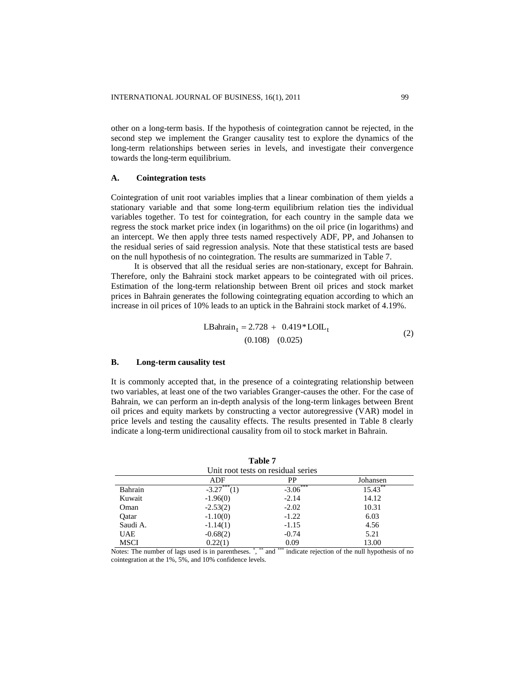other on a long-term basis. If the hypothesis of cointegration cannot be rejected, in the second step we implement the Granger causality test to explore the dynamics of the long-term relationships between series in levels, and investigate their convergence towards the long-term equilibrium.

## **A. Cointegration tests**

Cointegration of unit root variables implies that a linear combination of them yields a stationary variable and that some long-term equilibrium relation ties the individual variables together. To test for cointegration, for each country in the sample data we regress the stock market price index (in logarithms) on the oil price (in logarithms) and an intercept. We then apply three tests named respectively ADF, PP, and Johansen to the residual series of said regression analysis. Note that these statistical tests are based on the null hypothesis of no cointegration. The results are summarized in Table 7.

It is observed that all the residual series are non-stationary, except for Bahrain. Therefore, only the Bahraini stock market appears to be cointegrated with oil prices. Estimation of the long-term relationship between Brent oil prices and stock market prices in Bahrain generates the following cointegrating equation according to which an increase in oil prices of 10% leads to an uptick in the Bahraini stock market of 4.19%.

$$
LBahraint = 2.728 + 0.419 * LOILt
$$
  
(0.108) (0.025) (2)

## **B. Long-term causality test**

It is commonly accepted that, in the presence of a cointegrating relationship between two variables, at least one of the two variables Granger-causes the other. For the case of Bahrain, we can perform an in-depth analysis of the long-term linkages between Brent oil prices and equity markets by constructing a vector autoregressive (VAR) model in price levels and testing the causality effects. The results presented in Table 8 clearly indicate a long-term unidirectional causality from oil to stock market in Bahrain.

| Unit root tests on residual series |                   |            |            |  |  |  |  |  |
|------------------------------------|-------------------|------------|------------|--|--|--|--|--|
|                                    | ADF               | PP         | Johansen   |  |  |  |  |  |
| Bahrain                            | $-3.27***$<br>(1) | $-3.06***$ | $15.43***$ |  |  |  |  |  |
| Kuwait                             | $-1.96(0)$        | $-2.14$    | 14.12      |  |  |  |  |  |
| Oman                               | $-2.53(2)$        | $-2.02$    | 10.31      |  |  |  |  |  |
| Oatar                              | $-1.10(0)$        | $-1.22$    | 6.03       |  |  |  |  |  |
| Saudi A.                           | $-1.14(1)$        | $-1.15$    | 4.56       |  |  |  |  |  |
| <b>UAE</b>                         | $-0.68(2)$        | $-0.74$    | 5.21       |  |  |  |  |  |
| <b>MSCI</b>                        | 0.22(1)           | 0.09       | 13.00      |  |  |  |  |  |

**Table 7**

Notes: The number of lags used is in parentheses.<sup>\*</sup>, \*\*\* and \*\*\*\* indicate rejection of the null hypothesis of no cointegration at the 1%, 5%, and 10% confidence levels.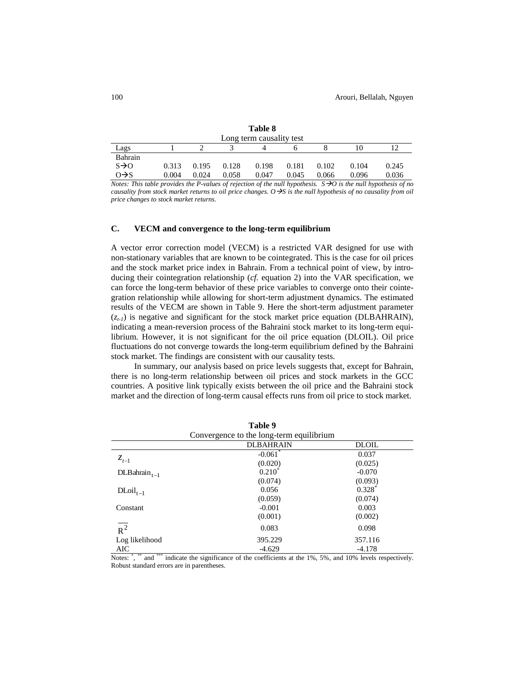|                   |       |       |       | Table 8<br>Long term causality test |       |       |       |       |
|-------------------|-------|-------|-------|-------------------------------------|-------|-------|-------|-------|
| Lags              |       |       |       |                                     |       |       | 10    |       |
| Bahrain           |       |       |       |                                     |       |       |       |       |
| $S\rightarrow O$  | 0.313 | 0.195 | 0.128 | 0.198                               | 0.181 | 0.102 | 0.104 | 0.245 |
| $O \rightarrow S$ | 0.004 | 0.024 | 0.058 | 0.047                               | 0.045 | 0.066 | 0.096 | 0.036 |

*Notes: This table provides the P-values of rejection of the null hypothesis.*  $S\rightarrow O$  *is the null hypothesis of no causality from stock market returns to oil price changes. OS is the null hypothesis of no causality from oil price changes to stock market returns.*

#### **C. VECM and convergence to the long-term equilibrium**

A vector error correction model (VECM) is a restricted VAR designed for use with non-stationary variables that are known to be cointegrated. This is the case for oil prices and the stock market price index in Bahrain. From a technical point of view, by introducing their cointegration relationship (*cf.* equation 2) into the VAR specification, we can force the long-term behavior of these price variables to converge onto their cointegration relationship while allowing for short-term adjustment dynamics. The estimated results of the VECM are shown in Table 9. Here the short-term adjustment parameter  $(z_{t-1})$  is negative and significant for the stock market price equation (DLBAHRAIN), indicating a mean-reversion process of the Bahraini stock market to its long-term equilibrium. However, it is not significant for the oil price equation (DLOIL). Oil price fluctuations do not converge towards the long-term equilibrium defined by the Bahraini stock market. The findings are consistent with our causality tests.

In summary, our analysis based on price levels suggests that, except for Bahrain, there is no long-term relationship between oil prices and stock markets in the GCC countries. A positive link typically exists between the oil price and the Bahraini stock market and the direction of long-term causal effects runs from oil price to stock market.

**Table 9**

|                                          | таріє 9               |              |  |  |  |  |  |
|------------------------------------------|-----------------------|--------------|--|--|--|--|--|
| Convergence to the long-term equilibrium |                       |              |  |  |  |  |  |
|                                          | <b>DLBAHRAIN</b>      | <b>DLOIL</b> |  |  |  |  |  |
|                                          | $-0.061$ <sup>*</sup> | 0.037        |  |  |  |  |  |
| $z_{t-1}$                                | (0.020)               | (0.025)      |  |  |  |  |  |
| $DLBahrain_{t-1}$                        | $0.210^{*}$           | $-0.070$     |  |  |  |  |  |
|                                          | (0.074)               | (0.093)      |  |  |  |  |  |
| $D\text{Loil}_{t-1}$                     | 0.056                 | $0.328^*$    |  |  |  |  |  |
|                                          | (0.059)               | (0.074)      |  |  |  |  |  |
| Constant                                 | $-0.001$              | 0.003        |  |  |  |  |  |
|                                          | (0.001)               | (0.002)      |  |  |  |  |  |
| $\overline{R^2}$                         | 0.083                 | 0.098        |  |  |  |  |  |
| Log likelihood                           | 395.229               | 357.116      |  |  |  |  |  |
| AIC                                      | $-4.629$              | $-4.178$     |  |  |  |  |  |

Notes: ", \*\* and \*\*\* indicate the significance of the coefficients at the 1%, 5%, and 10% levels respectively. Robust standard errors are in parentheses.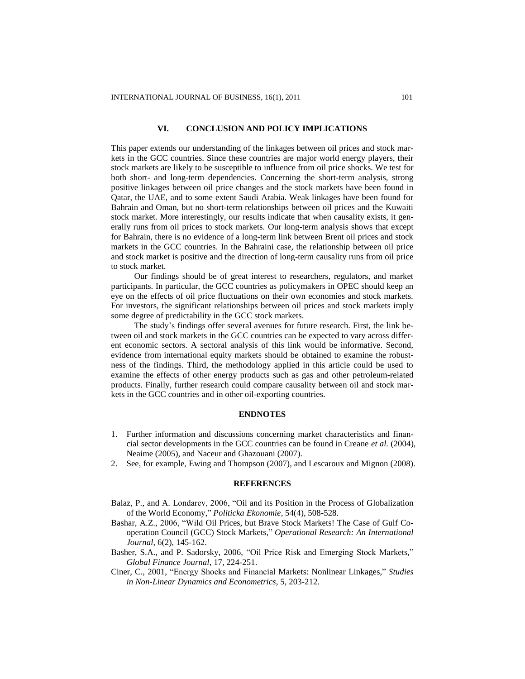## **VI. CONCLUSION AND POLICY IMPLICATIONS**

This paper extends our understanding of the linkages between oil prices and stock markets in the GCC countries. Since these countries are major world energy players, their stock markets are likely to be susceptible to influence from oil price shocks. We test for both short- and long-term dependencies. Concerning the short-term analysis, strong positive linkages between oil price changes and the stock markets have been found in Qatar, the UAE, and to some extent Saudi Arabia. Weak linkages have been found for Bahrain and Oman, but no short-term relationships between oil prices and the Kuwaiti stock market. More interestingly, our results indicate that when causality exists, it generally runs from oil prices to stock markets. Our long-term analysis shows that except for Bahrain, there is no evidence of a long-term link between Brent oil prices and stock markets in the GCC countries. In the Bahraini case, the relationship between oil price and stock market is positive and the direction of long-term causality runs from oil price to stock market.

Our findings should be of great interest to researchers, regulators, and market participants. In particular, the GCC countries as policymakers in OPEC should keep an eye on the effects of oil price fluctuations on their own economies and stock markets. For investors, the significant relationships between oil prices and stock markets imply some degree of predictability in the GCC stock markets.

The study's findings offer several avenues for future research. First, the link between oil and stock markets in the GCC countries can be expected to vary across different economic sectors. A sectoral analysis of this link would be informative. Second, evidence from international equity markets should be obtained to examine the robustness of the findings. Third, the methodology applied in this article could be used to examine the effects of other energy products such as gas and other petroleum-related products. Finally, further research could compare causality between oil and stock markets in the GCC countries and in other oil-exporting countries.

## **ENDNOTES**

- 1. Further information and discussions concerning market characteristics and financial sector developments in the GCC countries can be found in Creane *et al.* (2004), Neaime (2005), and Naceur and Ghazouani (2007).
- 2. See, for example, Ewing and Thompson (2007), and Lescaroux and Mignon (2008).

#### **REFERENCES**

- Balaz, P., and A. Londarev, 2006, "Oil and its Position in the Process of Globalization of the World Economy," *Politicka Ekonomie*, 54(4), 508-528.
- Bashar, A.Z., 2006, "Wild Oil Prices, but Brave Stock Markets! The Case of Gulf Cooperation Council (GCC) Stock Markets," *Operational Research: An International Journal*, 6(2), 145-162.
- Basher, S.A., and P. Sadorsky, 2006, "Oil Price Risk and Emerging Stock Markets," *Global Finance Journal*, 17, 224-251.
- Ciner, C., 2001, "Energy Shocks and Financial Markets: Nonlinear Linkages," *Studies in Non-Linear Dynamics and Econometrics*, 5, 203-212.